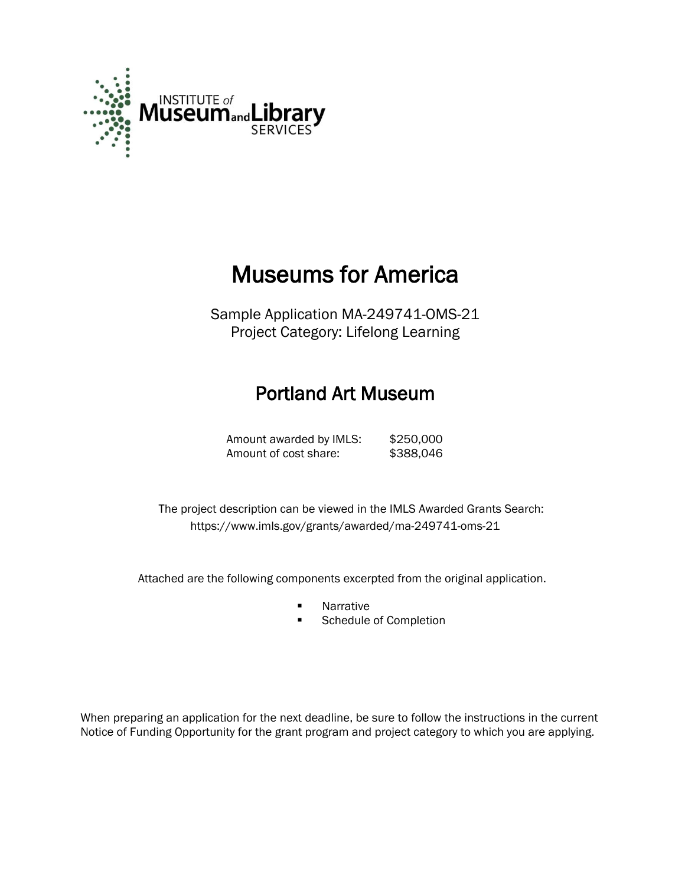

# Museums for America

Sample Application MA-249741-OMS-21 Project Category: Lifelong Learning

## Portland Art Museum

Amount awarded by IMLS: \$250,000 Amount of cost share: \$388,046

 The project description can be viewed in the IMLS Awarded Grants Search: <https://www.imls.gov/grants/awarded/ma-249741-oms-21>

Attached are the following components excerpted from the original application.

- **Narrative**
- **Schedule of Completion**

When preparing an application for the next deadline, be sure to follow the instructions in the current Notice of Funding Opportunity for the grant program and project category to which you are applying.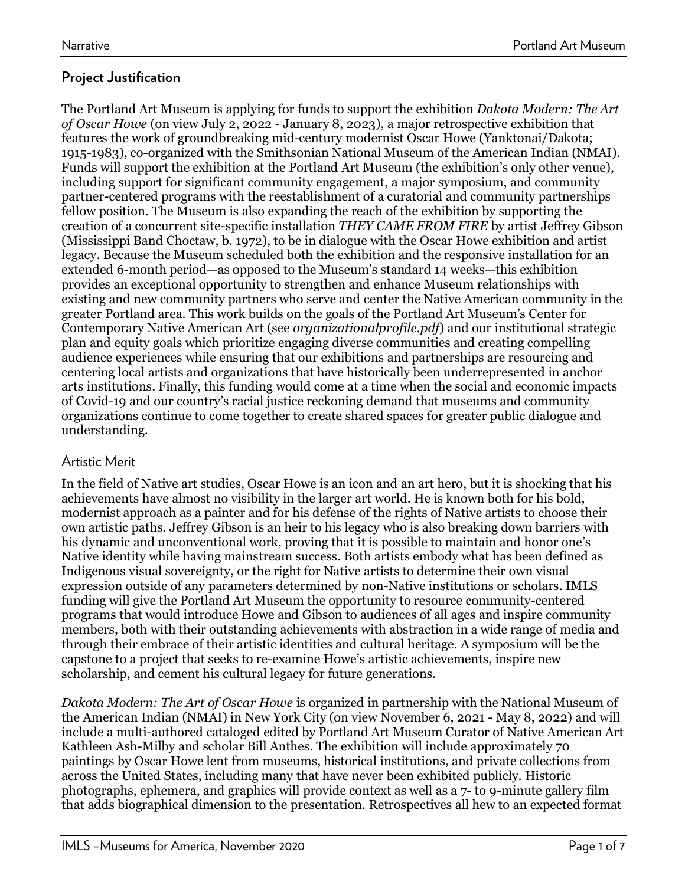### **Project Justification**

The Portland Art Museum is applying for funds to support the exhibition *Dakota Modern: The Art of Oscar Howe* (on view July 2, 2022 - January 8, 2023), a major retrospective exhibition that features the work of groundbreaking mid-century modernist Oscar Howe (Yanktonai/Dakota; 1915-1983), co-organized with the Smithsonian National Museum of the American Indian (NMAI). Funds will support the exhibition at the Portland Art Museum (the exhibition's only other venue), including support for significant community engagement, a major symposium, and community partner-centered programs with the reestablishment of a curatorial and community partnerships fellow position. The Museum is also expanding the reach of the exhibition by supporting the creation of a concurrent site-specific installation *THEY CAME FROM FIRE* by artist Jeffrey Gibson (Mississippi Band Choctaw, b. 1972), to be in dialogue with the Oscar Howe exhibition and artist legacy. Because the Museum scheduled both the exhibition and the responsive installation for an extended 6-month period—as opposed to the Museum's standard 14 weeks—this exhibition provides an exceptional opportunity to strengthen and enhance Museum relationships with existing and new community partners who serve and center the Native American community in the greater Portland area. This work builds on the goals of the Portland Art Museum's Center for Contemporary Native American Art (see *organizationalprofile.pdf*) and our institutional strategic plan and equity goals which prioritize engaging diverse communities and creating compelling audience experiences while ensuring that our exhibitions and partnerships are resourcing and centering local artists and organizations that have historically been underrepresented in anchor arts institutions. Finally, this funding would come at a time when the social and economic impacts of Covid-19 and our country's racial justice reckoning demand that museums and community organizations continue to come together to create shared spaces for greater public dialogue and understanding.

### Artistic Merit

In the field of Native art studies, Oscar Howe is an icon and an art hero, but it is shocking that his achievements have almost no visibility in the larger art world. He is known both for his bold, modernist approach as a painter and for his defense of the rights of Native artists to choose their own artistic paths. Jeffrey Gibson is an heir to his legacy who is also breaking down barriers with his dynamic and unconventional work, proving that it is possible to maintain and honor one's Native identity while having mainstream success. Both artists embody what has been defined as Indigenous visual sovereignty, or the right for Native artists to determine their own visual expression outside of any parameters determined by non-Native institutions or scholars. IMLS funding will give the Portland Art Museum the opportunity to resource community-centered programs that would introduce Howe and Gibson to audiences of all ages and inspire community members, both with their outstanding achievements with abstraction in a wide range of media and through their embrace of their artistic identities and cultural heritage. A symposium will be the capstone to a project that seeks to re-examine Howe's artistic achievements, inspire new scholarship, and cement his cultural legacy for future generations.

*Dakota Modern: The Art of Oscar Howe* is organized in partnership with the National Museum of the American Indian (NMAI) in New York City (on view November 6, 2021 - May 8, 2022) and will include a multi-authored cataloged edited by Portland Art Museum Curator of Native American Art Kathleen Ash-Milby and scholar Bill Anthes. The exhibition will include approximately 70 paintings by Oscar Howe lent from museums, historical institutions, and private collections from across the United States, including many that have never been exhibited publicly. Historic photographs, ephemera, and graphics will provide context as well as a 7- to 9-minute gallery film that adds biographical dimension to the presentation. Retrospectives all hew to an expected format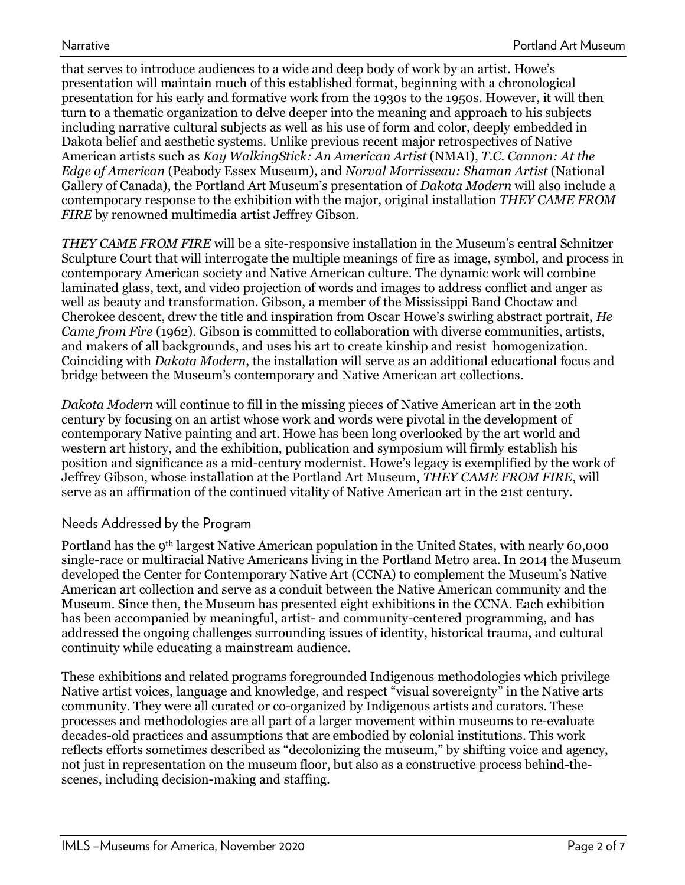that serves to introduce audiences to a wide and deep body of work by an artist. Howe's presentation will maintain much of this established format, beginning with a chronological presentation for his early and formative work from the 1930s to the 1950s. However, it will then turn to a thematic organization to delve deeper into the meaning and approach to his subjects including narrative cultural subjects as well as his use of form and color, deeply embedded in Dakota belief and aesthetic systems. Unlike previous recent major retrospectives of Native American artists such as *Kay WalkingStick: An American Artist* (NMAI), *T.C. Cannon: At the Edge of American* (Peabody Essex Museum), and *Norval Morrisseau: Shaman Artist* (National Gallery of Canada), the Portland Art Museum's presentation of *Dakota Modern* will also include a contemporary response to the exhibition with the major, original installation *THEY CAME FROM FIRE* by renowned multimedia artist Jeffrey Gibson.

*THEY CAME FROM FIRE* will be a site-responsive installation in the Museum's central Schnitzer Sculpture Court that will interrogate the multiple meanings of fire as image, symbol, and process in contemporary American society and Native American culture. The dynamic work will combine laminated glass, text, and video projection of words and images to address conflict and anger as well as beauty and transformation. Gibson, a member of the Mississippi Band Choctaw and Cherokee descent, drew the title and inspiration from Oscar Howe's swirling abstract portrait, *He Came from Fire* (1962). Gibson is committed to collaboration with diverse communities, artists, and makers of all backgrounds, and uses his art to create kinship and resist homogenization. Coinciding with *Dakota Modern*, the installation will serve as an additional educational focus and bridge between the Museum's contemporary and Native American art collections.

*Dakota Modern* will continue to fill in the missing pieces of Native American art in the 20th century by focusing on an artist whose work and words were pivotal in the development of contemporary Native painting and art. Howe has been long overlooked by the art world and western art history, and the exhibition, publication and symposium will firmly establish his position and significance as a mid-century modernist. Howe's legacy is exemplified by the work of Jeffrey Gibson, whose installation at the Portland Art Museum, *THEY CAME FROM FIRE*, will serve as an affirmation of the continued vitality of Native American art in the 21st century.

### Needs Addressed by the Program

Portland has the 9th largest Native American population in the United States, with nearly 60,000 single-race or multiracial Native Americans living in the Portland Metro area. In 2014 the Museum developed the Center for Contemporary Native Art (CCNA) to complement the Museum's Native American art collection and serve as a conduit between the Native American community and the Museum. Since then, the Museum has presented eight exhibitions in the CCNA. Each exhibition has been accompanied by meaningful, artist- and community-centered programming, and has addressed the ongoing challenges surrounding issues of identity, historical trauma, and cultural continuity while educating a mainstream audience.

These exhibitions and related programs foregrounded Indigenous methodologies which privilege Native artist voices, language and knowledge, and respect "visual sovereignty" in the Native arts community. They were all curated or co-organized by Indigenous artists and curators. These processes and methodologies are all part of a larger movement within museums to re-evaluate decades-old practices and assumptions that are embodied by colonial institutions. This work reflects efforts sometimes described as "decolonizing the museum," by shifting voice and agency, not just in representation on the museum floor, but also as a constructive process behind-thescenes, including decision-making and staffing.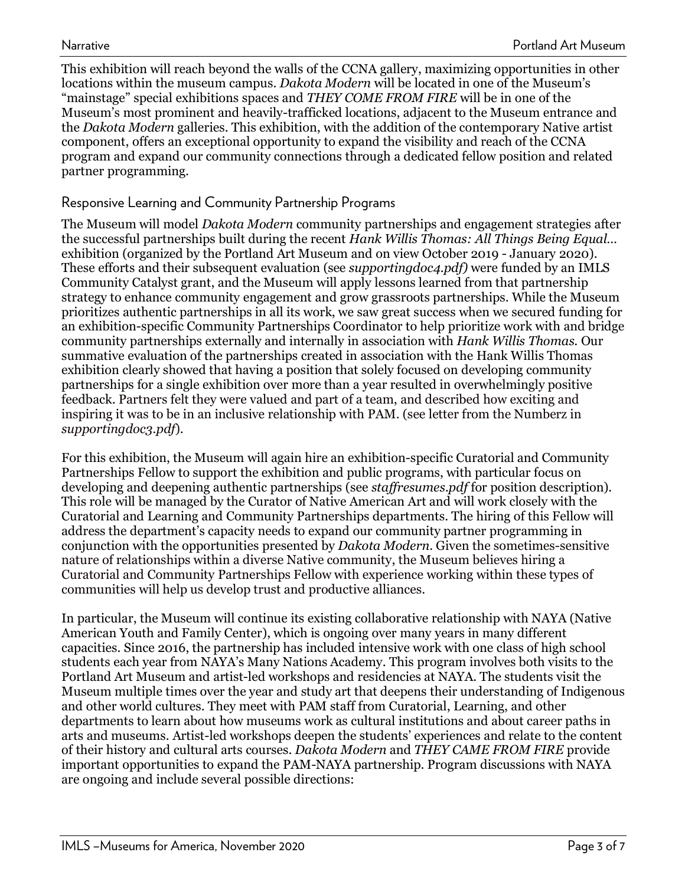This exhibition will reach beyond the walls of the CCNA gallery, maximizing opportunities in other locations within the museum campus. *Dakota Modern* will be located in one of the Museum's "mainstage" special exhibitions spaces and *THEY COME FROM FIRE* will be in one of the Museum's most prominent and heavily-trafficked locations, adjacent to the Museum entrance and the *Dakota Modern* galleries. This exhibition, with the addition of the contemporary Native artist component, offers an exceptional opportunity to expand the visibility and reach of the CCNA program and expand our community connections through a dedicated fellow position and related partner programming.

### Responsive Learning and Community Partnership Programs

The Museum will model *Dakota Modern* community partnerships and engagement strategies after the successful partnerships built during the recent *Hank Willis Thomas: All Things Being Equal…*  exhibition (organized by the Portland Art Museum and on view October 2019 - January 2020). These efforts and their subsequent evaluation (see *supportingdoc4.pdf)* were funded by an IMLS Community Catalyst grant, and the Museum will apply lessons learned from that partnership strategy to enhance community engagement and grow grassroots partnerships. While the Museum prioritizes authentic partnerships in all its work, we saw great success when we secured funding for an exhibition-specific Community Partnerships Coordinator to help prioritize work with and bridge community partnerships externally and internally in association with *Hank Willis Thomas.* Our summative evaluation of the partnerships created in association with the Hank Willis Thomas exhibition clearly showed that having a position that solely focused on developing community partnerships for a single exhibition over more than a year resulted in overwhelmingly positive feedback. Partners felt they were valued and part of a team, and described how exciting and inspiring it was to be in an inclusive relationship with PAM. (see letter from the Numberz in *supportingdoc3.pdf*).

For this exhibition, the Museum will again hire an exhibition-specific Curatorial and Community Partnerships Fellow to support the exhibition and public programs, with particular focus on developing and deepening authentic partnerships (see *staffresumes.pdf* for position description). This role will be managed by the Curator of Native American Art and will work closely with the Curatorial and Learning and Community Partnerships departments. The hiring of this Fellow will address the department's capacity needs to expand our community partner programming in conjunction with the opportunities presented by *Dakota Modern*. Given the sometimes-sensitive nature of relationships within a diverse Native community, the Museum believes hiring a Curatorial and Community Partnerships Fellow with experience working within these types of communities will help us develop trust and productive alliances.

In particular, the Museum will continue its existing collaborative relationship with NAYA (Native American Youth and Family Center), which is ongoing over many years in many different capacities. Since 2016, the partnership has included intensive work with one class of high school students each year from NAYA's Many Nations Academy. This program involves both visits to the Portland Art Museum and artist-led workshops and residencies at NAYA. The students visit the Museum multiple times over the year and study art that deepens their understanding of Indigenous and other world cultures. They meet with PAM staff from Curatorial, Learning, and other departments to learn about how museums work as cultural institutions and about career paths in arts and museums. Artist-led workshops deepen the students' experiences and relate to the content of their history and cultural arts courses. *Dakota Modern* and *THEY CAME FROM FIRE* provide important opportunities to expand the PAM-NAYA partnership. Program discussions with NAYA are ongoing and include several possible directions: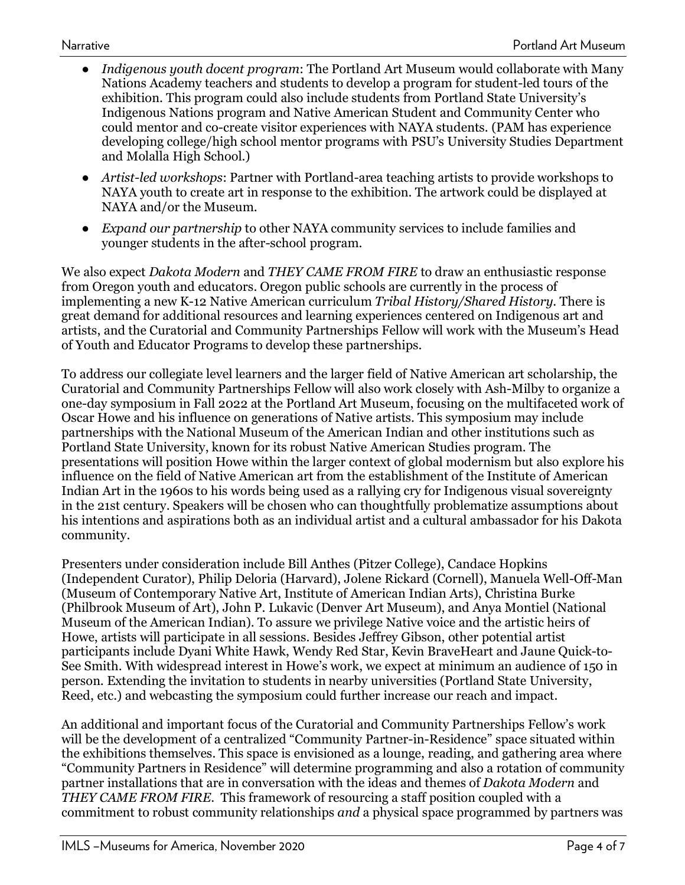- *Indigenous youth docent program*: The Portland Art Museum would collaborate with Many Nations Academy teachers and students to develop a program for student-led tours of the exhibition. This program could also include students from Portland State University's Indigenous Nations program and Native American Student and Community Center who could mentor and co-create visitor experiences with NAYA students. (PAM has experience developing college/high school mentor programs with PSU's University Studies Department and Molalla High School.)
- *Artist-led workshops*: Partner with Portland-area teaching artists to provide workshops to NAYA youth to create art in response to the exhibition. The artwork could be displayed at NAYA and/or the Museum.
- *Expand our partnership* to other NAYA community services to include families and younger students in the after-school program.

We also expect *Dakota Modern* and *THEY CAME FROM FIRE* to draw an enthusiastic response from Oregon youth and educators. Oregon public schools are currently in the process of implementing a new K-12 Native American curriculum *Tribal History/Shared History*. There is great demand for additional resources and learning experiences centered on Indigenous art and artists, and the Curatorial and Community Partnerships Fellow will work with the Museum's Head of Youth and Educator Programs to develop these partnerships.

To address our collegiate level learners and the larger field of Native American art scholarship, the Curatorial and Community Partnerships Fellow will also work closely with Ash-Milby to organize a one-day symposium in Fall 2022 at the Portland Art Museum, focusing on the multifaceted work of Oscar Howe and his influence on generations of Native artists. This symposium may include partnerships with the National Museum of the American Indian and other institutions such as Portland State University, known for its robust Native American Studies program. The presentations will position Howe within the larger context of global modernism but also explore his influence on the field of Native American art from the establishment of the Institute of American Indian Art in the 1960s to his words being used as a rallying cry for Indigenous visual sovereignty in the 21st century. Speakers will be chosen who can thoughtfully problematize assumptions about his intentions and aspirations both as an individual artist and a cultural ambassador for his Dakota community.

Presenters under consideration include Bill Anthes (Pitzer College), Candace Hopkins (Independent Curator), Philip Deloria (Harvard), Jolene Rickard (Cornell), Manuela Well-Off-Man (Museum of Contemporary Native Art, Institute of American Indian Arts), Christina Burke (Philbrook Museum of Art), John P. Lukavic (Denver Art Museum), and Anya Montiel (National Museum of the American Indian). To assure we privilege Native voice and the artistic heirs of Howe, artists will participate in all sessions. Besides Jeffrey Gibson, other potential artist participants include Dyani White Hawk, Wendy Red Star, Kevin BraveHeart and Jaune Quick-to-See Smith. With widespread interest in Howe's work, we expect at minimum an audience of 150 in person. Extending the invitation to students in nearby universities (Portland State University, Reed, etc.) and webcasting the symposium could further increase our reach and impact.

An additional and important focus of the Curatorial and Community Partnerships Fellow's work will be the development of a centralized "Community Partner-in-Residence" space situated within the exhibitions themselves. This space is envisioned as a lounge, reading, and gathering area where "Community Partners in Residence" will determine programming and also a rotation of community partner installations that are in conversation with the ideas and themes of *Dakota Modern* and *THEY CAME FROM FIRE*. This framework of resourcing a staff position coupled with a commitment to robust community relationships *and* a physical space programmed by partners was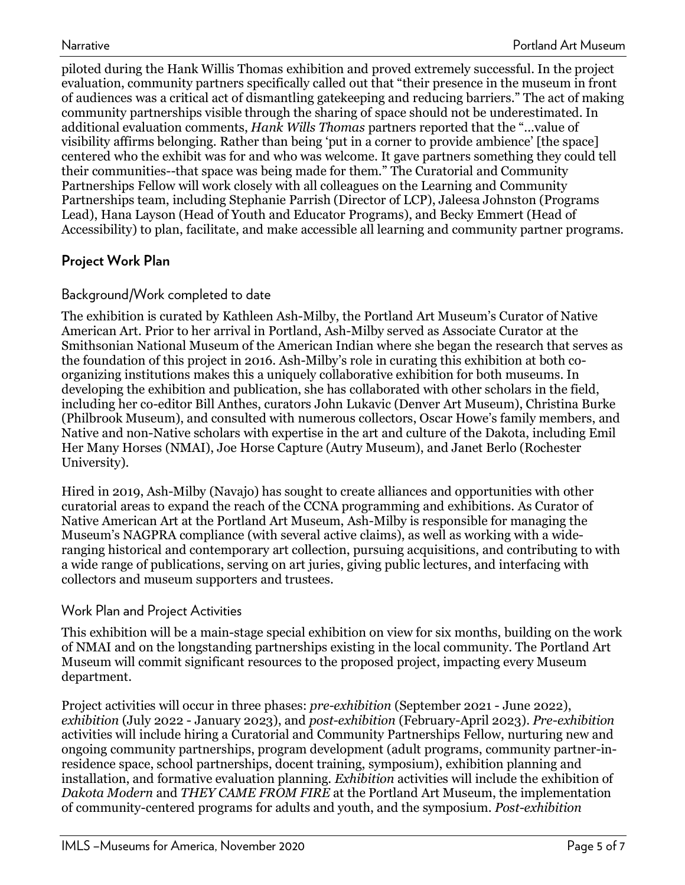piloted during the Hank Willis Thomas exhibition and proved extremely successful. In the project evaluation, community partners specifically called out that "their presence in the museum in front of audiences was a critical act of dismantling gatekeeping and reducing barriers." The act of making community partnerships visible through the sharing of space should not be underestimated. In additional evaluation comments, *Hank Wills Thomas* partners reported that the "...value of visibility affirms belonging. Rather than being 'put in a corner to provide ambience' [the space] centered who the exhibit was for and who was welcome. It gave partners something they could tell their communities--that space was being made for them." The Curatorial and Community Partnerships Fellow will work closely with all colleagues on the Learning and Community Partnerships team, including Stephanie Parrish (Director of LCP), Jaleesa Johnston (Programs Lead), Hana Layson (Head of Youth and Educator Programs), and Becky Emmert (Head of Accessibility) to plan, facilitate, and make accessible all learning and community partner programs.

### **Project Work Plan**

### Background/Work completed to date

The exhibition is curated by Kathleen Ash-Milby, the Portland Art Museum's Curator of Native American Art. Prior to her arrival in Portland, Ash-Milby served as Associate Curator at the Smithsonian National Museum of the American Indian where she began the research that serves as the foundation of this project in 2016. Ash-Milby's role in curating this exhibition at both coorganizing institutions makes this a uniquely collaborative exhibition for both museums. In developing the exhibition and publication, she has collaborated with other scholars in the field, including her co-editor Bill Anthes, curators John Lukavic (Denver Art Museum), Christina Burke (Philbrook Museum), and consulted with numerous collectors, Oscar Howe's family members, and Native and non-Native scholars with expertise in the art and culture of the Dakota, including Emil Her Many Horses (NMAI), Joe Horse Capture (Autry Museum), and Janet Berlo (Rochester University).

Hired in 2019, Ash-Milby (Navajo) has sought to create alliances and opportunities with other curatorial areas to expand the reach of the CCNA programming and exhibitions. As Curator of Native American Art at the Portland Art Museum, Ash-Milby is responsible for managing the Museum's NAGPRA compliance (with several active claims), as well as working with a wideranging historical and contemporary art collection, pursuing acquisitions, and contributing to with a wide range of publications, serving on art juries, giving public lectures, and interfacing with collectors and museum supporters and trustees.

### Work Plan and Project Activities

This exhibition will be a main-stage special exhibition on view for six months, building on the work of NMAI and on the longstanding partnerships existing in the local community. The Portland Art Museum will commit significant resources to the proposed project, impacting every Museum department.

Project activities will occur in three phases: *pre-exhibition* (September 2021 - June 2022), *exhibition* (July 2022 - January 2023), and *post-exhibition* (February-April 2023). *Pre-exhibition* activities will include hiring a Curatorial and Community Partnerships Fellow, nurturing new and ongoing community partnerships, program development (adult programs, community partner-inresidence space, school partnerships, docent training, symposium), exhibition planning and installation, and formative evaluation planning. *Exhibition* activities will include the exhibition of *Dakota Modern* and *THEY CAME FROM FIRE* at the Portland Art Museum, the implementation of community-centered programs for adults and youth, and the symposium. *Post-exhibition*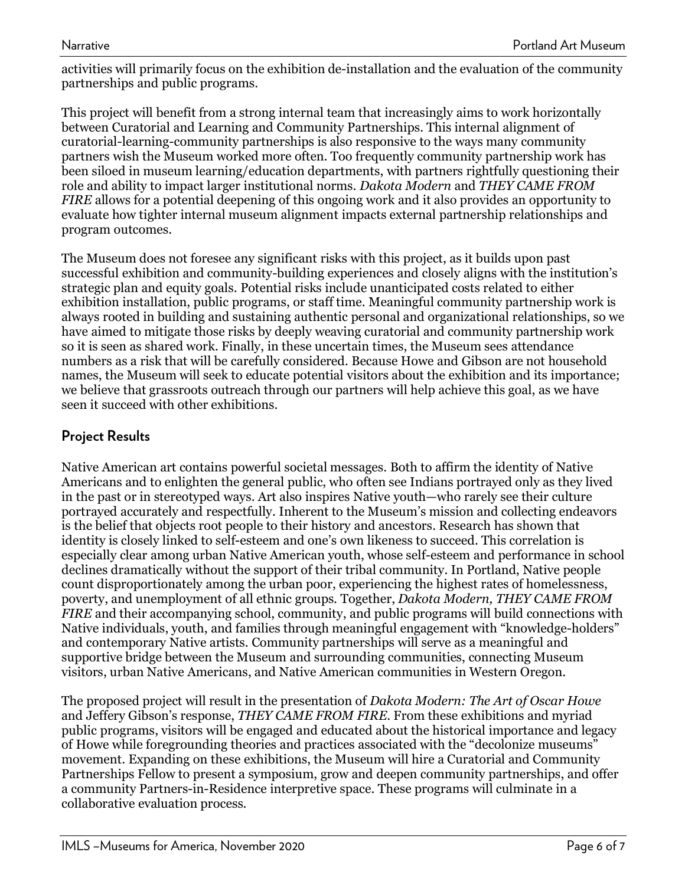activities will primarily focus on the exhibition de-installation and the evaluation of the community partnerships and public programs.

This project will benefit from a strong internal team that increasingly aims to work horizontally between Curatorial and Learning and Community Partnerships. This internal alignment of curatorial-learning-community partnerships is also responsive to the ways many community partners wish the Museum worked more often. Too frequently community partnership work has been siloed in museum learning/education departments, with partners rightfully questioning their role and ability to impact larger institutional norms. *Dakota Modern* and *THEY CAME FROM FIRE* allows for a potential deepening of this ongoing work and it also provides an opportunity to evaluate how tighter internal museum alignment impacts external partnership relationships and program outcomes.

The Museum does not foresee any significant risks with this project, as it builds upon past successful exhibition and community-building experiences and closely aligns with the institution's strategic plan and equity goals. Potential risks include unanticipated costs related to either exhibition installation, public programs, or staff time. Meaningful community partnership work is always rooted in building and sustaining authentic personal and organizational relationships, so we have aimed to mitigate those risks by deeply weaving curatorial and community partnership work so it is seen as shared work. Finally, in these uncertain times, the Museum sees attendance numbers as a risk that will be carefully considered. Because Howe and Gibson are not household names, the Museum will seek to educate potential visitors about the exhibition and its importance; we believe that grassroots outreach through our partners will help achieve this goal, as we have seen it succeed with other exhibitions.

### **Project Results**

Native American art contains powerful societal messages. Both to affirm the identity of Native Americans and to enlighten the general public, who often see Indians portrayed only as they lived in the past or in stereotyped ways. Art also inspires Native youth—who rarely see their culture portrayed accurately and respectfully. Inherent to the Museum's mission and collecting endeavors is the belief that objects root people to their history and ancestors. Research has shown that identity is closely linked to self-esteem and one's own likeness to succeed. This correlation is especially clear among urban Native American youth, whose self-esteem and performance in school declines dramatically without the support of their tribal community. In Portland, Native people count disproportionately among the urban poor, experiencing the highest rates of homelessness, poverty, and unemployment of all ethnic groups. Together, *Dakota Modern, THEY CAME FROM FIRE* and their accompanying school, community, and public programs will build connections with Native individuals, youth, and families through meaningful engagement with "knowledge-holders" and contemporary Native artists. Community partnerships will serve as a meaningful and supportive bridge between the Museum and surrounding communities, connecting Museum visitors, urban Native Americans, and Native American communities in Western Oregon.

The proposed project will result in the presentation of *Dakota Modern: The Art of Oscar Howe*  and Jeffery Gibson's response, *THEY CAME FROM FIRE*. From these exhibitions and myriad public programs, visitors will be engaged and educated about the historical importance and legacy of Howe while foregrounding theories and practices associated with the "decolonize museums" movement. Expanding on these exhibitions, the Museum will hire a Curatorial and Community Partnerships Fellow to present a symposium, grow and deepen community partnerships, and offer a community Partners-in-Residence interpretive space. These programs will culminate in a collaborative evaluation process.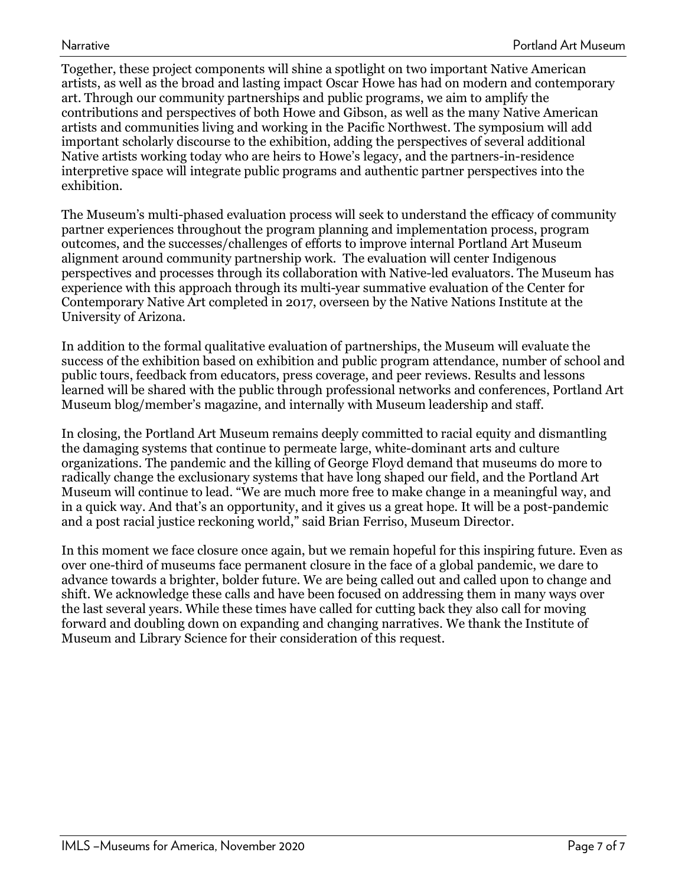Together, these project components will shine a spotlight on two important Native American artists, as well as the broad and lasting impact Oscar Howe has had on modern and contemporary art. Through our community partnerships and public programs, we aim to amplify the contributions and perspectives of both Howe and Gibson, as well as the many Native American artists and communities living and working in the Pacific Northwest. The symposium will add important scholarly discourse to the exhibition, adding the perspectives of several additional Native artists working today who are heirs to Howe's legacy, and the partners-in-residence interpretive space will integrate public programs and authentic partner perspectives into the exhibition.

The Museum's multi-phased evaluation process will seek to understand the efficacy of community partner experiences throughout the program planning and implementation process, program outcomes, and the successes/challenges of efforts to improve internal Portland Art Museum alignment around community partnership work. The evaluation will center Indigenous perspectives and processes through its collaboration with Native-led evaluators. The Museum has experience with this approach through its multi-year summative evaluation of the Center for Contemporary Native Art completed in 2017, overseen by the Native Nations Institute at the University of Arizona.

In addition to the formal qualitative evaluation of partnerships, the Museum will evaluate the success of the exhibition based on exhibition and public program attendance, number of school and public tours, feedback from educators, press coverage, and peer reviews. Results and lessons learned will be shared with the public through professional networks and conferences, Portland Art Museum blog/member's magazine, and internally with Museum leadership and staff.

In closing, the Portland Art Museum remains deeply committed to racial equity and dismantling the damaging systems that continue to permeate large, white-dominant arts and culture organizations. The pandemic and the killing of George Floyd demand that museums do more to radically change the exclusionary systems that have long shaped our field, and the Portland Art Museum will continue to lead. "We are much more free to make change in a meaningful way, and in a quick way. And that's an opportunity, and it gives us a great hope. It will be a post-pandemic and a post racial justice reckoning world," said Brian Ferriso, Museum Director.

In this moment we face closure once again, but we remain hopeful for this inspiring future. Even as over one-third of museums face permanent closure in the face of a global pandemic, we dare to advance towards a brighter, bolder future. We are being called out and called upon to change and shift. We acknowledge these calls and have been focused on addressing them in many ways over the last several years. While these times have called for cutting back they also call for moving forward and doubling down on expanding and changing narratives. We thank the Institute of Museum and Library Science for their consideration of this request.